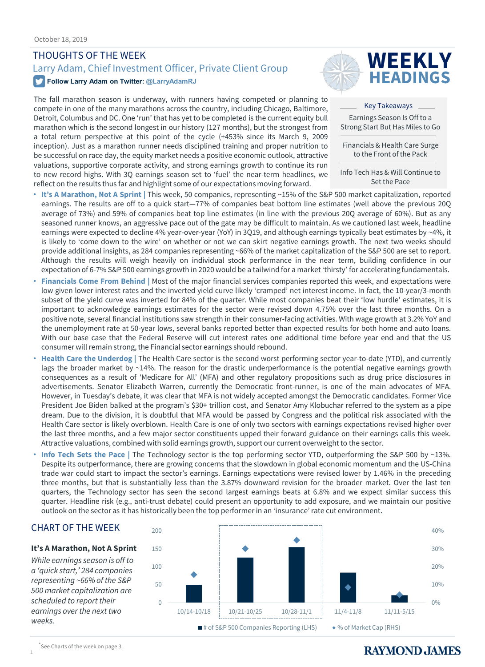### THOUGHTS OF THE WEEK

# Larry Adam, Chief Investment Officer, Private Client Group **WEEKLY**

#### **Follow Larry Adam on Twitter: @LarryAdamRJ**

The fall marathon season is underway, with runners having competed or planning to compete in one of the many marathons across the country, including Chicago, Baltimore, Detroit, Columbus and DC. One 'run' that has yet to be completed is the current equity bull marathon which is the second longest in our history (127 months), but the strongest from a total return perspective at this point of the cycle (+453% since its March 9, 2009 inception). Just as a marathon runner needs disciplined training and proper nutrition to be successful on race day, the equity market needs a positive economic outlook, attractive valuations, supportive corporate activity, and strong earnings growth to continue its run to new record highs. With 3Q earnings season set to 'fuel' the near-term headlines, we reflect on the results thus far and highlight some of our expectations moving forward.



Key Takeaways Earnings Season Is Off to a Strong Start But Has Miles to Go

Financials & Health Care Surge to the Front of the Pack

Info Tech Has & Will Continue to Set the Pace

- **It's A Marathon, Not A Sprint |** This week, 50 companies, representing ~15% of the S&P 500 market capitalization, reported earnings. The results are off to a quick start-77% of companies beat bottom line estimates (well above the previous 20Q average of 73%) and 59% of companies beat top line estimates (in line with the previous 20Q average of 60%). But as any seasoned runner knows, an aggressive pace out of the gate may be difficult to maintain. As we cautioned last week, headline earnings were expected to decline 4% year-over-year (YoY) in 3Q19, and although earnings typically beat estimates by ~4%, it is likely to 'come down to the wire' on whether or not we can skirt negative earnings growth. The next two weeks should provide additional insights, as 284 companies representing ~66% of the market capitalization of the S&P 500 are set to report. Although the results will weigh heavily on individual stock performance in the near term, building confidence in our expectation of 6-7% S&P 500 earnings growth in 2020 would be a tailwind for a market 'thirsty' for accelerating fundamentals.
- **Financials Come From Behind |** Most of the major financial services companies reported this week, and expectations were low given lower interest rates and the inverted yield curve likely 'cramped' net interest income. In fact, the 10-year/3-month subset of the yield curve was inverted for 84% of the quarter. While most companies beat their 'low hurdle' estimates, it is important to acknowledge earnings estimates for the sector were revised down 4.75% over the last three months. On a positive note, several financial institutions saw strength in their consumer-facing activities. With wage growth at 3.2% YoY and the unemployment rate at 50-year lows, several banks reported better than expected results for both home and auto loans. With our base case that the Federal Reserve will cut interest rates one additional time before year end and that the US consumer will remain strong, the Financial sector earnings should rebound.
- **Health Care the Underdog |** The Health Care sector is the second worst performing sector year-to-date (YTD), and currently lags the broader market by ~14%. The reason for the drastic underperformance is the potential negative earnings growth consequences as a result of 'Medicare for All' (MFA) and other regulatory propositions such as drug price disclosures in advertisements. Senator Elizabeth Warren, currently the Democratic front-runner, is one of the main advocates of MFA. However, in Tuesday's debate, it was clear that MFA is not widely accepted amongst the Democratic candidates. Former Vice President Joe Biden balked at the program's \$30+ trillion cost, and Senator Amy Klobuchar referred to the system as a pipe dream. Due to the division, it is doubtful that MFA would be passed by Congress and the political risk associated with the Health Care sector is likely overblown. Health Care is one of only two sectors with earnings expectations revised higher over the last three months, and a few major sector constituents upped their forward guidance on their earnings calls this week. Attractive valuations, combined with solid earnings growth, support our current overweightto the sector.
- **Info Tech Sets the Pace |** The Technology sector is the top performing sector YTD, outperforming the S&P 500 by ~13%. Despite its outperformance, there are growing concerns that the slowdown in global economic momentum and the US-China trade war could start to impact the sector's earnings. Earnings expectations were revised lower by 1.46% in the preceding three months, but that is substantially less than the 3.87% downward revision for the broader market. Over the last ten quarters, the Technology sector has seen the second largest earnings beats at 6.8% and we expect similar success this quarter. Headline risk (e.g., anti-trust debate) could present an opportunity to add exposure, and we maintain our positive outlook on the sector as it has historically been the top performer in an 'insurance' rate cut environment.



#### **It's A Marathon, Not A Sprint**

*While earnings season is off to a 'quick start,' 284 companies representing ~66% of the S&P 500 market capitalization are scheduled to report their earnings over the next two weeks.* 



1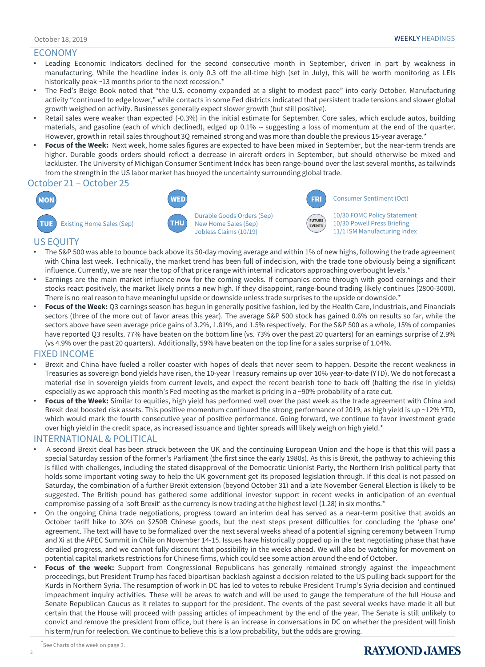#### ECONOMY

- Leading Economic Indicators declined for the second consecutive month in September, driven in part by weakness in manufacturing. While the headline index is only 0.3 off the all-time high (set in July), this will be worth monitoring as LEIs historically peak ~13 months prior to the next recession.\*
- The Fed's Beige Book noted that "the U.S. economy expanded at a slight to modest pace" into early October. Manufacturing activity "continued to edge lower," while contacts in some Fed districts indicated that persistent trade tensions and slower global growth weighed on activity. Businesses generally expect slower growth (but still positive).
- Retail sales were weaker than expected (-0.3%) in the initial estimate for September. Core sales, which exclude autos, building materials, and gasoline (each of which declined), edged up 0.1% -- suggesting a loss of momentum at the end of the quarter. However, growth in retail sales throughout 3Q remained strong and was more than double the previous 15-year average.\*
- **Focus of the Week:** Next week, home sales figures are expected to have been mixed in September, but the near-term trends are higher. Durable goods orders should reflect a decrease in aircraft orders in September, but should otherwise be mixed and lackluster. The University of Michigan Consumer Sentiment Index has been range-bound over the last several months, as tailwinds from the strength in the US labor market has buoyed the uncertainty surrounding global trade.

#### October 21 – October 25



Durable Goods Orders (Sep) New Home Sales (Sep) Jobless Claims (10/19)

**WED** 

THU





**FRI** 

10/30 FOMC Policy Statement 10/30 Powell Press Briefing 11/1 ISM Manufacturing Index

#### US EQUITY

- The S&P 500 was able to bounce back above its 50-day moving average and within 1% of new highs, following the trade agreement with China last week. Technically, the market trend has been full of indecision, with the trade tone obviously being a significant influence. Currently, we are near the top of that price range with internal indicators approaching overbought levels.\*
- Earnings are the main market influence now for the coming weeks. If companies come through with good earnings and their stocks react positively, the market likely prints a new high. If they disappoint, range-bound trading likely continues (2800-3000). There is no real reason to have meaningful upside or downside unless trade surprises to the upside or downside.\*
- **Focus of the Week:** Q3 earnings season has begun in generally positive fashion, led by the Health Care, Industrials, and Financials sectors (three of the more out of favor areas this year). The average S&P 500 stock has gained 0.6% on results so far, while the sectors above have seen average price gains of 3.2%, 1.81%, and 1.5% respectively. For the S&P 500 as a whole, 15% of companies have reported Q3 results. 77% have beaten on the bottom line (vs. 73% over the past 20 quarters) for an earnings surprise of 2.9% (vs 4.9% over the past 20 quarters). Additionally, 59% have beaten on the top line for a sales surprise of 1.04%.

#### FIXED INCOME

- Brexit and China have fueled a roller coaster with hopes of deals that never seem to happen. Despite the recent weakness in Treasuries as sovereign bond yields have risen, the 10-year Treasury remains up over 10% year-to-date (YTD). We do not forecast a material rise in sovereign yields from current levels, and expect the recent bearish tone to back off (halting the rise in yields) especially as we approach this month's Fed meeting as the market is pricing in a ~90% probability of a rate cut.
- **Focus of the Week:** Similar to equities, high yield has performed well over the past week as the trade agreement with China and Brexit deal boosted risk assets. This positive momentum continued the strong performance of 2019, as high yield is up ~12% YTD, which would mark the fourth consecutive year of positive performance. Going forward, we continue to favor investment grade over high yield in the credit space, as increased issuance and tighter spreads will likely weigh on high yield.\*

#### INTERNATIONAL & POLITICAL

- A second Brexit deal has been struck between the UK and the continuing European Union and the hope is that this will pass a special Saturday session of the former's Parliament (the first since the early 1980s). As this is Brexit, the pathway to achieving this is filled with challenges, including the stated disapproval of the Democratic Unionist Party, the Northern Irish political party that holds some important voting sway to help the UK government get its proposed legislation through. If this deal is not passed on Saturday, the combination of a further Brexit extension (beyond October 31) and a late November General Election is likely to be suggested. The British pound has gathered some additional investor support in recent weeks in anticipation of an eventual compromise passing of a 'soft Brexit' as the currency is now trading at the highest level (1.28) in six months.\*
- On the ongoing China trade negotiations, progress toward an interim deal has served as a near-term positive that avoids an October tariff hike to 30% on \$250B Chinese goods, but the next steps present difficulties for concluding the 'phase one' agreement. The text will have to be formalized over the next several weeks ahead of a potential signing ceremony between Trump and Xi at the APEC Summit in Chile on November 14-15. Issues have historically popped up in the text negotiating phase that have derailed progress, and we cannot fully discount that possibility in the weeks ahead. We will also be watching for movement on potential capital markets restrictions for Chinese firms, which could see some action around the end of October.
- **Focus of the week:** Support from Congressional Republicans has generally remained strongly against the impeachment proceedings, but President Trump has faced bipartisan backlash against a decision related to the US pulling back support for the Kurds in Northern Syria. The resumption of work in DC has led to votes to rebuke President Trump's Syria decision and continued impeachment inquiry activities. These will be areas to watch and will be used to gauge the temperature of the full House and Senate Republican Caucus as it relates to support for the president. The events of the past several weeks have made it all but certain that the House will proceed with passing articles of impeachment by the end of the year. The Senate is still unlikely to convict and remove the president from office, but there is an increase in conversations in DC on whether the president will finish his term/run for reelection. We continue to believe this is a low probability, but the odds are growing.

2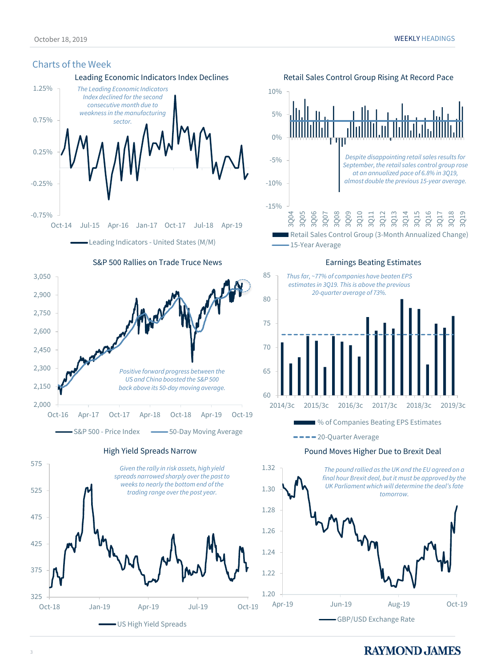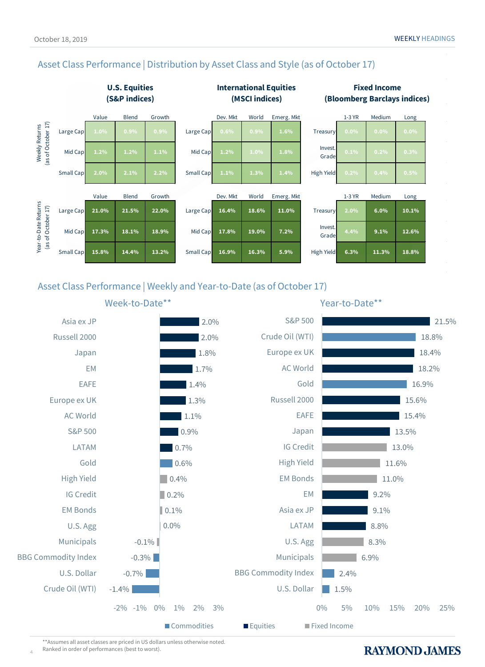## Asset Class Performance | Distribution by Asset Class and Style (as of October 17)



## Asset Class Performance | Weekly and Year-to-Date (as of October 17)



\*\*Assumes all asset classes are priced in US dollars unless otherwise noted. Ranked in order of performances (best to worst).

4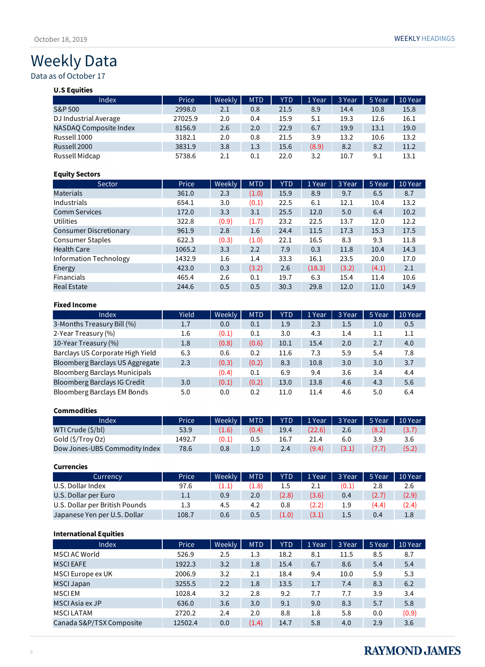## Weekly Data

## Data as of October 17

#### **U.S Equities**

| Index                  | Price   | Weekly | <b>MTD</b> | <b>YTD</b> | 1 Year | 3 Year | 5 Year | 10 Year |
|------------------------|---------|--------|------------|------------|--------|--------|--------|---------|
| S&P 500                | 2998.0  | 2.1    | 0.8        | 21.5       | 8.9    | 14.4   | 10.8   | 15.8    |
| DJ Industrial Average  | 27025.9 | 2.0    | 0.4        | 15.9       | 5.1    | 19.3   | 12.6   | 16.1    |
| NASDAO Composite Index | 8156.9  | 2.6    | 2.0        | 22.9       | 6.7    | 19.9   | 13.1   | 19.0    |
| Russell 1000           | 3182.1  | 2.0    | 0.8        | 21.5       | 3.9    | 13.2   | 10.6   | 13.2    |
| Russell 2000           | 3831.9  | 3.8    | 1.3        | 15.6       | (8.9)  | 8.2    | 8.2    | 11.2    |
| Russell Midcap         | 5738.6  | 2.1    | 0.1        | 22.0       | 3.2    | 10.7   | 9.1    | 13.1    |

#### **Equity Sectors**

| <b>Sector</b>                 | Price  | Weekly | <b>MTD</b> | <b>YTD</b> | 1 Year | 3 Year | 5 Year | 10 Year |
|-------------------------------|--------|--------|------------|------------|--------|--------|--------|---------|
| <b>Materials</b>              | 361.0  | 2.3    | (1.0)      | 15.9       | 8.9    | 9.7    | 6.5    | 8.7     |
| Industrials                   | 654.1  | 3.0    | (0.1)      | 22.5       | 6.1    | 12.1   | 10.4   | 13.2    |
| <b>Comm Services</b>          | 172.0  | 3.3    | 3.1        | 25.5       | 12.0   | 5.0    | 6.4    | 10.2    |
| Utilities                     | 322.8  | (0.9)  | (1.7)      | 23.2       | 22.5   | 13.7   | 12.0   | 12.2    |
| <b>Consumer Discretionary</b> | 961.9  | 2.8    | 1.6        | 24.4       | 11.5   | 17.3   | 15.3   | 17.5    |
| <b>Consumer Staples</b>       | 622.3  | (0.3)  | (1.0)      | 22.1       | 16.5   | 8.3    | 9.3    | 11.8    |
| <b>Health Care</b>            | 1065.2 | 3.3    | 2.2        | 7.9        | 0.3    | 11.8   | 10.4   | 14.3    |
| Information Technology        | 1432.9 | 1.6    | 1.4        | 33.3       | 16.1   | 23.5   | 20.0   | 17.0    |
| Energy                        | 423.0  | 0.3    | (3.2)      | 2.6        | (18.3) | (3.2)  | (4.1)  | 2.1     |
| Financials                    | 465.4  | 2.6    | 0.1        | 19.7       | 6.3    | 15.4   | 11.4   | 10.6    |
| <b>Real Estate</b>            | 244.6  | 0.5    | 0.5        | 30.3       | 29.8   | 12.0   | 11.0   | 14.9    |

#### **Fixed Income**

| Index                                | Yield | Weekly | <b>MTD</b> | <b>YTD</b> | 1 Year | 3 Year | 5 Year  | 10 Year |
|--------------------------------------|-------|--------|------------|------------|--------|--------|---------|---------|
| 3-Months Treasury Bill (%)           | 1.7   | 0.0    | 0.1        | 1.9        | 2.3    | 1.5    | 1.0     | 0.5     |
| 2-Year Treasury (%)                  | 1.6   | (0.1)  | 0.1        | 3.0        | 4.3    | 1.4    | $1.1\,$ | 1.1     |
| 10-Year Treasury (%)                 | 1.8   | (0.8)  | (0.6)      | 10.1       | 15.4   | 2.0    | 2.7     | 4.0     |
| Barclays US Corporate High Yield     | 6.3   | 0.6    | 0.2        | 11.6       | 7.3    | 5.9    | 5.4     | 7.8     |
| Bloomberg Barclays US Aggregate      | 2.3   | (0.3)  | (0.2)      | 8.3        | 10.8   | 3.0    | 3.0     | 3.7     |
| <b>Bloomberg Barclays Municipals</b> |       | (0.4)  | 0.1        | 6.9        | 9.4    | 3.6    | 3.4     | 4.4     |
| <b>Bloomberg Barclays IG Credit</b>  | 3.0   | (0.1)  | (0.2)      | 13.0       | 13.8   | 4.6    | 4.3     | 5.6     |
| Bloomberg Barclays EM Bonds          | 5.0   | 0.0    | 0.2        | 11.0       | 11.4   | 4.6    | 5.0     | 6.4     |

#### **Commodities**

| Index                         | Price  | Weekly                  | <b>MTD</b> | <b>YTD</b> | 1 Year | 3 Year | 5 Year | 10 Year |
|-------------------------------|--------|-------------------------|------------|------------|--------|--------|--------|---------|
| WTI Crude (\$/bl)             | 53.9   | (1.6)                   | (0.4)      | 19.4       | (22.6) | 2.6    | (8.2)  | (3.7)   |
| Gold (\$/Troy Oz)             | 1492.7 | $^{\prime}0.1^{\prime}$ |            | 16.7       | 21.4   | 6.0    | 3.9    | 3.6     |
| Dow Jones-UBS Commodity Index | 78.6   | 0.8                     | 1.0        | 2.4        | (9.4)  |        | (7.7)  | (5.2)   |

#### **Currencies**

| Currency                       | Price | Weekly | <b>MTD</b> | <b>YTD</b> | 1 Year | 3 Year | 5 Year | 10 Year |
|--------------------------------|-------|--------|------------|------------|--------|--------|--------|---------|
| U.S. Dollar Index              | 97.6  | 1.1    | (1.8)      |            |        | (0.1   | 2.8    | 2.6     |
| U.S. Dollar per Euro           | 1.1   | 0.9    | 2.0        | (2.8)      | (3.6)  | 0.4    | (2.7)  | (2.9)   |
| U.S. Dollar per British Pounds | 1.3   | 4.5    | 4.2        | 0.8        | (2.2)  | 1.9    | (4.4)  | (2.4)   |
| Japanese Yen per U.S. Dollar   | 108.7 | 0.6    | 0.5        | (1.0)      | (3.1)  | 1.5    | 0.4    | 1.8     |

#### **International Equities**

| Index                    | Price   | Weekly | <b>MTD</b> | <b>YTD</b> | 1 Year | 3 Year | 5 Year | 10 Year |
|--------------------------|---------|--------|------------|------------|--------|--------|--------|---------|
| MSCI AC World            | 526.9   | 2.5    | 1.3        | 18.2       | 8.1    | 11.5   | 8.5    | 8.7     |
| <b>MSCIEAFE</b>          | 1922.3  | 3.2    | 1.8        | 15.4       | 6.7    | 8.6    | 5.4    | 5.4     |
| MSCI Europe ex UK        | 2006.9  | 3.2    | 2.1        | 18.4       | 9.4    | 10.0   | 5.9    | 5.3     |
| <b>MSCI Japan</b>        | 3255.5  | 2.2    | 1.8        | 13.5       | 1.7    | 7.4    | 8.3    | 6.2     |
| <b>MSCIEM</b>            | 1028.4  | 3.2    | 2.8        | 9.2        | 7.7    | 7.7    | 3.9    | 3.4     |
| MSCI Asia ex JP          | 636.0   | 3.6    | 3.0        | 9.1        | 9.0    | 8.3    | 5.7    | 5.8     |
| <b>MSCILATAM</b>         | 2720.2  | 2.4    | 2.0        | 8.8        | 1.8    | 5.8    | 0.0    | (0.9)   |
| Canada S&P/TSX Composite | 12502.4 | 0.0    | (1.4)      | 14.7       | 5.8    | 4.0    | 2.9    | 3.6     |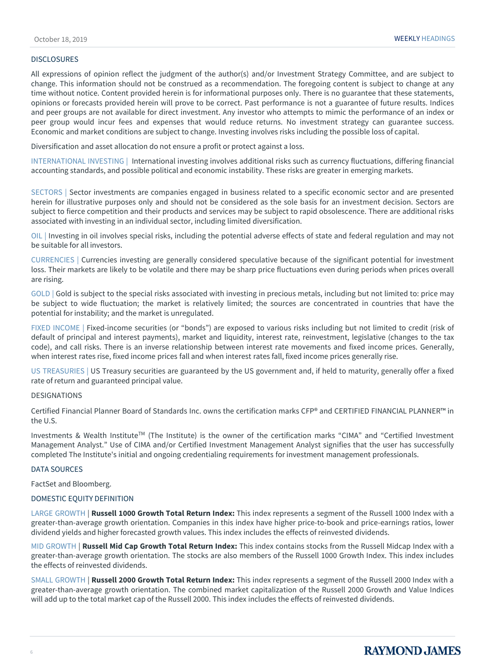#### **DISCLOSURES**

All expressions of opinion reflect the judgment of the author(s) and/or Investment Strategy Committee, and are subject to change. This information should not be construed as a recommendation. The foregoing content is subject to change at any time without notice. Content provided herein is for informational purposes only. There is no guarantee that these statements, opinions or forecasts provided herein will prove to be correct. Past performance is not a guarantee of future results. Indices and peer groups are not available for direct investment. Any investor who attempts to mimic the performance of an index or peer group would incur fees and expenses that would reduce returns. No investment strategy can guarantee success. Economic and market conditions are subject to change. Investing involves risks including the possible loss of capital.

Diversification and asset allocation do not ensure a profit or protect against a loss.

INTERNATIONAL INVESTING | International investing involves additional risks such as currency fluctuations, differing financial accounting standards, and possible political and economic instability. These risks are greater in emerging markets.

SECTORS | Sector investments are companies engaged in business related to a specific economic sector and are presented herein for illustrative purposes only and should not be considered as the sole basis for an investment decision. Sectors are subject to fierce competition and their products and services may be subject to rapid obsolescence. There are additional risks associated with investing in an individual sector, including limited diversification.

OIL | Investing in oil involves special risks, including the potential adverse effects of state and federal regulation and may not be suitable for all investors.

CURRENCIES | Currencies investing are generally considered speculative because of the significant potential for investment loss. Their markets are likely to be volatile and there may be sharp price fluctuations even during periods when prices overall are rising.

GOLD | Gold is subject to the special risks associated with investing in precious metals, including but not limited to: price may be subject to wide fluctuation; the market is relatively limited; the sources are concentrated in countries that have the potential for instability; and the market is unregulated.

FIXED INCOME | Fixed-income securities (or "bonds") are exposed to various risks including but not limited to credit (risk of default of principal and interest payments), market and liquidity, interest rate, reinvestment, legislative (changes to the tax code), and call risks. There is an inverse relationship between interest rate movements and fixed income prices. Generally, when interest rates rise, fixed income prices fall and when interest rates fall, fixed income prices generally rise.

US TREASURIES | US Treasury securities are guaranteed by the US government and, if held to maturity, generally offer a fixed rate of return and guaranteed principal value.

#### DESIGNATIONS

Certified Financial Planner Board of Standards Inc. owns the certification marks CFP® and CERTIFIED FINANCIAL PLANNER™ in the U.S.

Investments & Wealth Institute<sup>TM</sup> (The Institute) is the owner of the certification marks "CIMA" and "Certified Investment Management Analyst." Use of CIMA and/or Certified Investment Management Analyst signifies that the user has successfully completed The Institute's initial and ongoing credentialing requirements for investment management professionals.

#### DATA SOURCES

FactSet and Bloomberg.

#### DOMESTIC EQUITY DEFINITION

LARGE GROWTH | **Russell 1000 Growth Total Return Index:** This index represents a segment of the Russell 1000 Index with a greater-than-average growth orientation. Companies in this index have higher price-to-book and price-earnings ratios, lower dividend yields and higher forecasted growth values. This index includes the effects of reinvested dividends.

MID GROWTH | **Russell Mid Cap Growth Total Return Index:** This index contains stocks from the Russell Midcap Index with a greater-than-average growth orientation. The stocks are also members of the Russell 1000 Growth Index. This index includes the effects of reinvested dividends.

SMALL GROWTH | **Russell 2000 Growth Total Return Index:** This index represents a segment of the Russell 2000 Index with a greater-than-average growth orientation. The combined market capitalization of the Russell 2000 Growth and Value Indices will add up to the total market cap of the Russell 2000. This index includes the effects of reinvested dividends.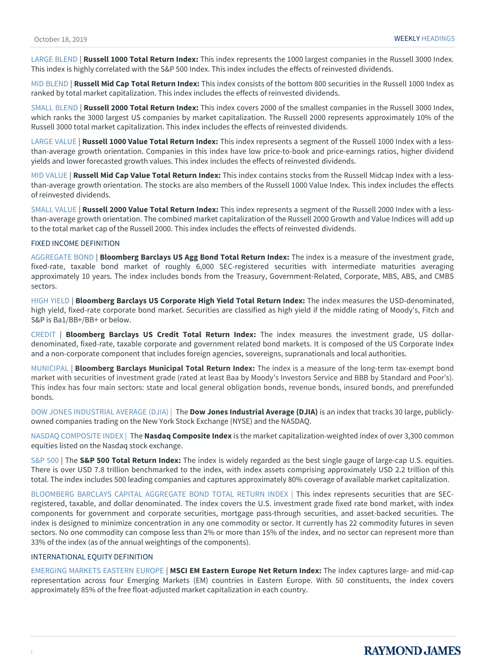LARGE BLEND | **Russell 1000 Total Return Index:** This index represents the 1000 largest companies in the Russell 3000 Index. This index is highly correlated with the S&P 500 Index. This index includes the effects of reinvested dividends.

MID BLEND | **Russell Mid Cap Total Return Index:** This index consists of the bottom 800 securities in the Russell 1000 Index as ranked by total market capitalization. This index includes the effects of reinvested dividends.

SMALL BLEND | **Russell 2000 Total Return Index:** This index covers 2000 of the smallest companies in the Russell 3000 Index, which ranks the 3000 largest US companies by market capitalization. The Russell 2000 represents approximately 10% of the Russell 3000 total market capitalization. This index includes the effects of reinvested dividends.

LARGE VALUE | **Russell 1000 Value Total Return Index:** This index represents a segment of the Russell 1000 Index with a lessthan-average growth orientation. Companies in this index have low price-to-book and price-earnings ratios, higher dividend yields and lower forecasted growth values. This index includes the effects of reinvested dividends.

MID VALUE | **Russell Mid Cap Value Total Return Index:** This index contains stocks from the Russell Midcap Index with a lessthan-average growth orientation. The stocks are also members of the Russell 1000 Value Index. This index includes the effects of reinvested dividends.

SMALL VALUE | **Russell 2000 Value Total Return Index:** This index represents a segment of the Russell 2000 Index with a lessthan-average growth orientation. The combined market capitalization of the Russell 2000 Growth and Value Indices will add up to the total market cap of the Russell 2000. This index includes the effects of reinvested dividends.

#### FIXED INCOME DEFINITION

AGGREGATE BOND | **Bloomberg Barclays US Agg Bond Total Return Index:** The index is a measure of the investment grade, fixed-rate, taxable bond market of roughly 6,000 SEC-registered securities with intermediate maturities averaging approximately 10 years. The index includes bonds from the Treasury, Government-Related, Corporate, MBS, ABS, and CMBS sectors.

HIGH YIELD | **Bloomberg Barclays US Corporate High Yield Total Return Index:** The index measures the USD-denominated, high yield, fixed-rate corporate bond market. Securities are classified as high yield if the middle rating of Moody's, Fitch and S&P is Ba1/BB+/BB+ or below.

CREDIT | **Bloomberg Barclays US Credit Total Return Index:** The index measures the investment grade, US dollardenominated, fixed-rate, taxable corporate and government related bond markets. It is composed of the US Corporate Index and a non-corporate component that includes foreign agencies, sovereigns, supranationals and local authorities.

MUNICIPAL | **Bloomberg Barclays Municipal Total Return Index:** The index is a measure of the long-term tax-exempt bond market with securities of investment grade (rated at least Baa by Moody's Investors Service and BBB by Standard and Poor's). This index has four main sectors: state and local general obligation bonds, revenue bonds, insured bonds, and prerefunded bonds.

DOW JONES INDUSTRIAL AVERAGE (DJIA) | The **Dow Jones Industrial Average (DJIA)** is an index that tracks 30 large, publiclyowned companies trading on the New York Stock Exchange (NYSE) and the NASDAQ.

NASDAQ COMPOSITE INDEX | The **Nasdaq Composite Index** is the market capitalization-weighted index of over 3,300 common equities listed on the Nasdaq stock exchange.

S&P 500 | The **S&P 500 Total Return Index:** The index is widely regarded as the best single gauge of large-cap U.S. equities. There is over USD 7.8 trillion benchmarked to the index, with index assets comprising approximately USD 2.2 trillion of this total. The index includes 500 leading companies and captures approximately 80% coverage of available market capitalization.

BLOOMBERG BARCLAYS CAPITAL AGGREGATE BOND TOTAL RETURN INDEX | This index represents securities that are SECregistered, taxable, and dollar denominated. The index covers the U.S. investment grade fixed rate bond market, with index components for government and corporate securities, mortgage pass-through securities, and asset-backed securities. The index is designed to minimize concentration in any one commodity or sector. It currently has 22 commodity futures in seven sectors. No one commodity can compose less than 2% or more than 15% of the index, and no sector can represent more than 33% of the index (as of the annual weightings of the components).

#### INTERNATIONAL EQUITY DEFINITION

EMERGING MARKETS EASTERN EUROPE | **MSCI EM Eastern Europe Net Return Index:** The index captures large- and mid-cap representation across four Emerging Markets (EM) countries in Eastern Europe. With 50 constituents, the index covers approximately 85% of the free float-adjusted market capitalization in each country.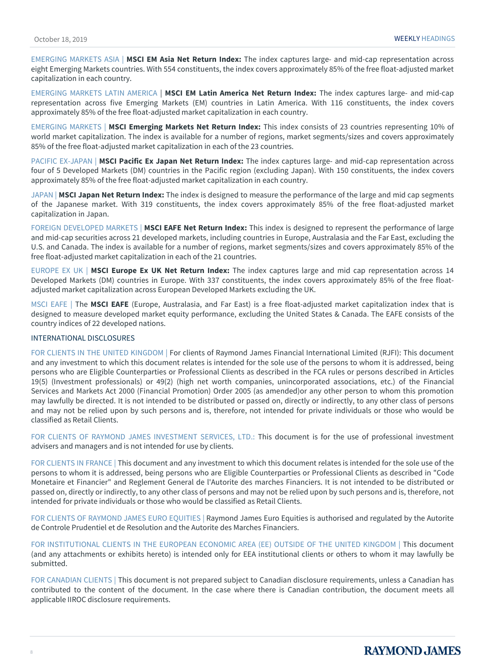EMERGING MARKETS ASIA | **MSCI EM Asia Net Return Index:** The index captures large- and mid-cap representation across eight Emerging Markets countries. With 554 constituents, the index covers approximately 85% of the free float-adjusted market capitalization in each country.

EMERGING MARKETS LATIN AMERICA | **MSCI EM Latin America Net Return Index:** The index captures large- and mid-cap representation across five Emerging Markets (EM) countries in Latin America. With 116 constituents, the index covers approximately 85% of the free float-adjusted market capitalization in each country.

EMERGING MARKETS | **MSCI Emerging Markets Net Return Index:** This index consists of 23 countries representing 10% of world market capitalization. The index is available for a number of regions, market segments/sizes and covers approximately 85% of the free float-adjusted market capitalization in each of the 23 countries.

PACIFIC EX-JAPAN | **MSCI Pacific Ex Japan Net Return Index:** The index captures large- and mid-cap representation across four of 5 Developed Markets (DM) countries in the Pacific region (excluding Japan). With 150 constituents, the index covers approximately 85% of the free float-adjusted market capitalization in each country.

JAPAN | **MSCI Japan Net Return Index:** The index is designed to measure the performance of the large and mid cap segments of the Japanese market. With 319 constituents, the index covers approximately 85% of the free float-adjusted market capitalization in Japan.

FOREIGN DEVELOPED MARKETS | **MSCI EAFE Net Return Index:** This index is designed to represent the performance of large and mid-cap securities across 21 developed markets, including countries in Europe, Australasia and the Far East, excluding the U.S. and Canada. The index is available for a number of regions, market segments/sizes and covers approximately 85% of the free float-adjusted market capitalization in each of the 21 countries.

EUROPE EX UK | **MSCI Europe Ex UK Net Return Index:** The index captures large and mid cap representation across 14 Developed Markets (DM) countries in Europe. With 337 constituents, the index covers approximately 85% of the free floatadjusted market capitalization across European Developed Markets excluding the UK.

MSCI EAFE | The **MSCI EAFE** (Europe, Australasia, and Far East) is a free float-adjusted market capitalization index that is designed to measure developed market equity performance, excluding the United States & Canada. The EAFE consists of the country indices of 22 developed nations.

#### INTERNATIONAL DISCLOSURES

FOR CLIENTS IN THE UNITED KINGDOM | For clients of Raymond James Financial International Limited (RJFI): This document and any investment to which this document relates is intended for the sole use of the persons to whom it is addressed, being persons who are Eligible Counterparties or Professional Clients as described in the FCA rules or persons described in Articles 19(5) (Investment professionals) or 49(2) (high net worth companies, unincorporated associations, etc.) of the Financial Services and Markets Act 2000 (Financial Promotion) Order 2005 (as amended)or any other person to whom this promotion may lawfully be directed. It is not intended to be distributed or passed on, directly or indirectly, to any other class of persons and may not be relied upon by such persons and is, therefore, not intended for private individuals or those who would be classified as Retail Clients.

FOR CLIENTS OF RAYMOND JAMES INVESTMENT SERVICES, LTD.: This document is for the use of professional investment advisers and managers and is not intended for use by clients.

FOR CLIENTS IN FRANCE | This document and any investment to which this document relates is intended for the sole use of the persons to whom it is addressed, being persons who are Eligible Counterparties or Professional Clients as described in "Code Monetaire et Financier" and Reglement General de l'Autorite des marches Financiers. It is not intended to be distributed or passed on, directly or indirectly, to any other class of persons and may not be relied upon by such persons and is, therefore, not intended for private individuals or those who would be classified as Retail Clients.

FOR CLIENTS OF RAYMOND JAMES EURO EQUITIES | Raymond James Euro Equities is authorised and regulated by the Autorite de Controle Prudentiel et de Resolution and the Autorite des Marches Financiers.

FOR INSTITUTIONAL CLIENTS IN THE EUROPEAN ECONOMIC AREA (EE) OUTSIDE OF THE UNITED KINGDOM | This document (and any attachments or exhibits hereto) is intended only for EEA institutional clients or others to whom it may lawfully be submitted.

FOR CANADIAN CLIENTS | This document is not prepared subject to Canadian disclosure requirements, unless a Canadian has contributed to the content of the document. In the case where there is Canadian contribution, the document meets all applicable IIROC disclosure requirements.